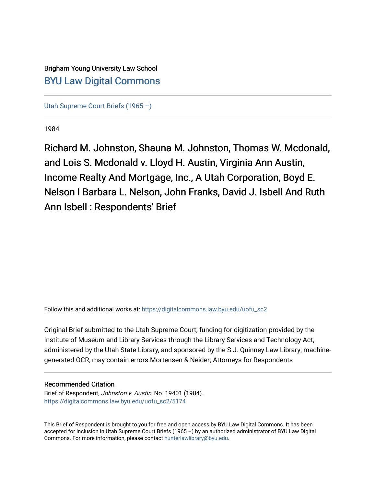Brigham Young University Law School [BYU Law Digital Commons](https://digitalcommons.law.byu.edu/) 

[Utah Supreme Court Briefs \(1965 –\)](https://digitalcommons.law.byu.edu/uofu_sc2)

1984

Richard M. Johnston, Shauna M. Johnston, Thomas W. Mcdonald, and Lois S. Mcdonald v. Lloyd H. Austin, Virginia Ann Austin, Income Realty And Mortgage, Inc., A Utah Corporation, Boyd E. Nelson I Barbara L. Nelson, John Franks, David J. Isbell And Ruth Ann Isbell : Respondents' Brief

Follow this and additional works at: [https://digitalcommons.law.byu.edu/uofu\\_sc2](https://digitalcommons.law.byu.edu/uofu_sc2?utm_source=digitalcommons.law.byu.edu%2Fuofu_sc2%2F5174&utm_medium=PDF&utm_campaign=PDFCoverPages)

Original Brief submitted to the Utah Supreme Court; funding for digitization provided by the Institute of Museum and Library Services through the Library Services and Technology Act, administered by the Utah State Library, and sponsored by the S.J. Quinney Law Library; machinegenerated OCR, may contain errors.Mortensen & Neider; Attorneys for Respondents

## Recommended Citation

Brief of Respondent, Johnston v. Austin, No. 19401 (1984). [https://digitalcommons.law.byu.edu/uofu\\_sc2/5174](https://digitalcommons.law.byu.edu/uofu_sc2/5174?utm_source=digitalcommons.law.byu.edu%2Fuofu_sc2%2F5174&utm_medium=PDF&utm_campaign=PDFCoverPages) 

This Brief of Respondent is brought to you for free and open access by BYU Law Digital Commons. It has been accepted for inclusion in Utah Supreme Court Briefs (1965 –) by an authorized administrator of BYU Law Digital Commons. For more information, please contact [hunterlawlibrary@byu.edu](mailto:hunterlawlibrary@byu.edu).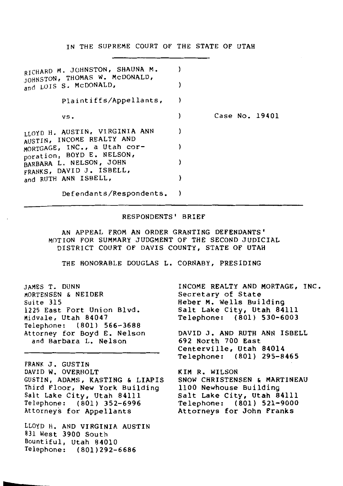IN THE SUPREME COURT OF THE STATE OF UTAH

| RICHARD M. JOHNSTON, SHAUNA M.<br>JOHNSTON, THOMAS W. MCDONALD,<br>and LOIS S. McDONALD, |                |
|------------------------------------------------------------------------------------------|----------------|
| plaintiffs/Appellants,                                                                   |                |
| vs.                                                                                      | Case No. 19401 |
| LLOYD H. AUSTIN, VIRGINIA ANN<br>AUSTIN, INCOME REALTY AND                               |                |
| MORTGAGE, INC., a Utah cor-<br>poration, BOYD E. NELSON,                                 |                |
| BARBARA L. NELSON, JOHN<br>FRANKS, DAVID J. ISBELL,                                      |                |
| and RUTH ANN ISBELL,                                                                     |                |
| Defendants/Respondents.                                                                  |                |

## RESPONDENTS' BRIEF

AN APPEAL FROM AN ORDER GRANTING DEFENDANTS' MOTION FOR SUMMARY JUDGMENT OF THE SECOND JUDICIAL DISTRICT COURT OF DAVIS COUNTY, STATE OF UTAH

THE HONORABLE DOUGLAS L. CORNABY, PRESIDING

| JAMES T. DUNN               |
|-----------------------------|
| MORTENSEN & NEIDER          |
| Suite 315                   |
| 1225 East Fort Union Blvd.  |
| Midvale, Utah 84047         |
| Telephone: (801) 566-3688   |
| Attorney for Boyd E. Nelson |
| and Barbara L. Nelson       |

FRANK J. GUSTIN DAVID W. OVERHOLT GUSTIN, ADAMS, KASTING & LIAPIS Third Floor, New York Building Salt Lake City, Utah 84111 Telephone: ( 801) 352-6996 Attorneys for Appellants

LLOYD H. AND VIRGINIA AUSTIN 831 West 3900 South Bountiful, Utah 84010 Telephone: (801)292-6686

INCOME REALTY AND MORTAGE, INC. Secretary of State Heber M. Wells Building Salt Lake City, Utah 84111 Telephone: (801) 530-6003

DAVID J. AND RUTH ANN ISBELL 692 North 700 East Centerville, Utah 84014 Telephone: (801) 295-8465

KIM R. WILSON SNOW CHRISTENSEN & MARTINEAU 1100 Newhouse Building Salt Lake City, Utah 84111 Telephone: (801) 521-9000 Attorneys for John Franks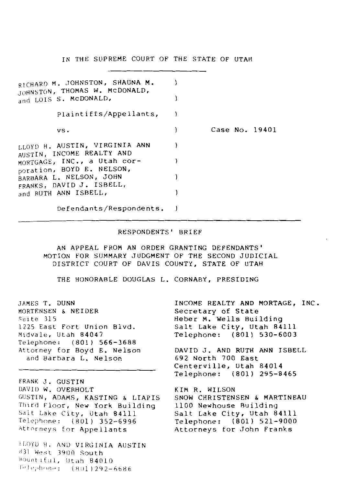IN THE SUPREME COURT OF THE STATE OF UTAH

| RICHARD M. JOHNSTON, SHAUNA M.<br>JOHNSTON, THOMAS W. MCDONALD,<br>and LOIS S. McDONALD, |                |
|------------------------------------------------------------------------------------------|----------------|
| Plaintiffs/Appellants,                                                                   |                |
| vs.                                                                                      | Case No. 19401 |
| LLOYD H. AUSTIN, VIRGINIA ANN<br>AUSTIN, INCOME REALTY AND                               |                |
| MORTGAGE, INC., a Utah cor-<br>poration, BOYD E. NELSON,                                 |                |
| BARBARA L. NELSON, JOHN<br>FRANKS, DAVID J. ISBELL,                                      |                |
| and RUTH ANN ISBELL,                                                                     |                |
| Defendants/Respondents.                                                                  |                |

#### RESPONDENTS' BRIEF

AN APPEAL FROM AN ORDER GRANTING DEFENDANTS' MOTION FOR SUMMARY JUDGMENT OF THE SECOND JUDICIAL DISTRICT COURT OF DAVIS COUNTY, STATE OF UTAH

THE HONORABLE DOUGLAS L. CORNABY, PRESIDING

JAMES T. DUNN MORTF.NSEN & NEIDER Suite 315 1225 East Fort Union Blvd. Midvale, Utah 84047 Telephone: ( 801} 566-3688 Attorney for Boyd E. Nelson and Barbara L. Nelson

FRANK J. GUSTIN DAVID W. OVERHOLT GUSTIN, ADAMS, KASTING & LIAPIS Third Floor, New York Building Salt Lake City, Utah 84111 Telephone: ( 801} 352-6996 Attorneys for Appellants

ILOYD H, AND VIRGINIA AUSTIN 831 West 3900 South Rountiful, Utah 84010  $F^{-1}$ ephone:  $(801)292 - 6686$ 

INCOME REALTY AND MORTAGE, INC. Secretary of State Heber M. Wells Building Salt Lake City, Utah 84111 Telephone: (801) 530-6003 DAVID J. AND RUTH ANN ISBELL 692 North 700 East Centerville, Utah 84014 Telephone: (801) 295-8465

KIM R. WILSON SNOW CHRISTENSEN & MARTINEAU 1100 Newhouse Ruilding Salt Lake City, Utah 84111 Telephone: (801) 521-9000 Attorneys for John Franks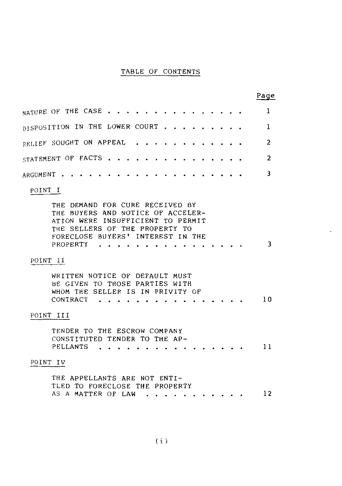## TABLE OF CONTENTS

|           |                                                                                                                                                                   |                             |  |        |  |  |  | Page |
|-----------|-------------------------------------------------------------------------------------------------------------------------------------------------------------------|-----------------------------|--|--------|--|--|--|------|
|           | NATURE OF THE CASE                                                                                                                                                |                             |  |        |  |  |  | 1    |
|           | DISPOSITION IN THE LOWER COURT                                                                                                                                    |                             |  | $\sim$ |  |  |  | 1    |
|           | RELIEF SOUGHT ON APPEAL                                                                                                                                           |                             |  |        |  |  |  | 2    |
|           | STATEMENT OF FACTS.                                                                                                                                               |                             |  |        |  |  |  | 2    |
| ARGUMENT  |                                                                                                                                                                   |                             |  |        |  |  |  | 3    |
| POINT I   |                                                                                                                                                                   |                             |  |        |  |  |  |      |
|           | TH E<br>THE BUYERS AND NOTICE OF ACCELER-<br>ATION WERE INSUFFICIENT TO PERMIT<br>THE SELLERS OF THE PROPERTY TO<br>FORECLOSE BUYERS' INTEREST IN THE<br>PROPERTY | DEMAND FOR CURE RECEIVED BY |  |        |  |  |  | 3    |
| POINT II  |                                                                                                                                                                   |                             |  |        |  |  |  |      |
|           | WRITTEN NOTICE OF DEFAULT MUST<br>BE GIVEN TO THOSE PARTIES WITH<br>WHOM THE SELLER IS IN PRIVITY OF<br>CONTRACT                                                  |                             |  |        |  |  |  | 10   |
| POINT III |                                                                                                                                                                   |                             |  |        |  |  |  |      |
|           | TENDER TO THE ESCROW COMPANY<br>CONSTITUTED TENDER TO THE AP-<br>PELLANTS                                                                                         |                             |  |        |  |  |  | 11   |
| POINT IV  |                                                                                                                                                                   |                             |  |        |  |  |  |      |
|           | THE APPELLANTS ARE NOT ENTI-<br>TLED TO FORECLOSE THE PROPERTY<br>AS A MATTER OF LAW                                                                              |                             |  |        |  |  |  | 12   |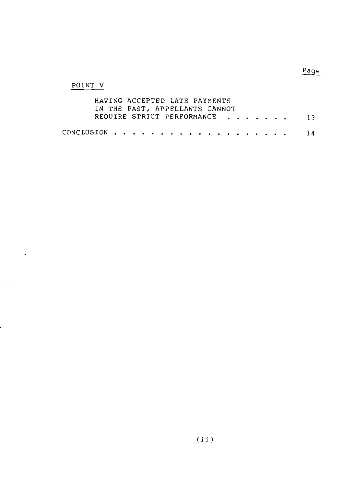## POINT V

| HAVING ACCEPTED LATE PAYMENTS  |  |
|--------------------------------|--|
| IN THE PAST, APPELLANTS CANNOT |  |
| REOUIRE STRICT PERFORMANCE 13  |  |
|                                |  |
|                                |  |

 $Page$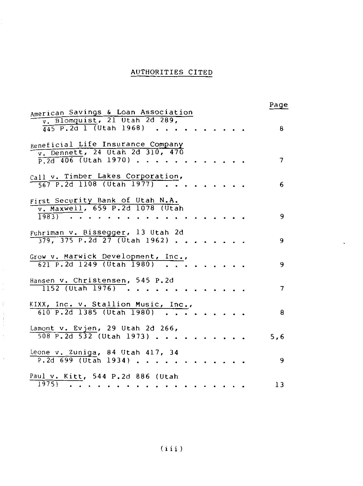# AUTHORITIES CITED

| American Savings & Loan Association                                                            | Page           |
|------------------------------------------------------------------------------------------------|----------------|
| v. Blomquist, 21 Utah 2d 289,<br>$\frac{1}{445}$ P.2d 1 (Utah 1968)                            | 8              |
| Beneficial Life Insurance Company<br>v. Dennett, 24 Utah 2d 310, 470<br>$P.2d$ 406 (Utah 1970) | 7              |
| Call v. Timber Lakes Corporation,<br>$\frac{1}{667}$ P.2d 1108 (Utah 1977)                     | 6              |
| First Security Bank of Utah N.A.<br>v. Maxwell, 659 P.2d 1078 (Utah<br>$1983$ ).               | 9              |
| Fuhriman v. Bissegger, 13 Utah 2d<br>$\frac{1}{379}$ , 375 P.2d 27 (Utah 1962).                | 9              |
| Grow v. Marwick Development, Inc.,<br>621 P.2d 1249 (Utah 1980)                                | 9              |
| Hansen v. Christensen, 545 P.2d<br>$1152$ (Utah 1976).                                         | $\overline{7}$ |
| KIXX, Inc. v. Stallion Music, Inc.,<br>610 P.2d 1385 (Utah 1980).                              | -8             |
| Lamont v. Evjen, 29 Utah 2d 266,<br>$508$ P.2d $532$ (Utah 1973).                              | 5,6            |
| Leone v. Zuniga, 84 Utah 417, 34<br>$P.2d 699$ (Utah 1934)                                     | -9             |
| Paul v. Kitt, 544 P.2d 886 (Utah<br>$1975$ $\cdot$                                             | 13             |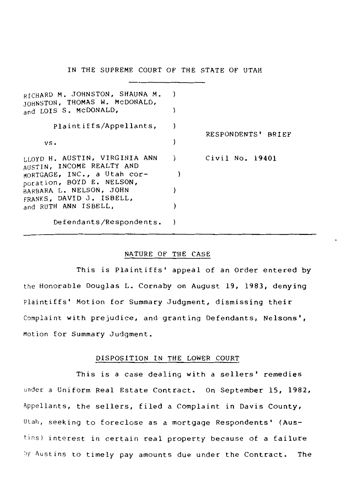IN THE SUPREME COURT OF THE STATE OF UTAH

| RICHARD M. JOHNSTON, SHAUNA M.<br>JOHNSTON, THOMAS W. MCDONALD,<br>and LOIS S. McDONALD, |   |                              |
|------------------------------------------------------------------------------------------|---|------------------------------|
| Plaintiffs/Appellants,                                                                   |   | RESPONDENTS'<br><b>BRIEF</b> |
| vs.                                                                                      |   |                              |
| LLOYD H. AUSTIN, VIRGINIA ANN<br>AUSTIN, INCOME REALTY AND                               | , | Civil No. 19401              |
| MORTGAGE, INC., a Utah cor-<br>poration, BOYD E. NELSON,                                 |   |                              |
| BARBARA L. NELSON, JOHN<br>FRANKS, DAVID J. ISBELL,                                      |   |                              |
| and RUTH ANN ISBELL,                                                                     |   |                              |
| Defendants/Respondents.                                                                  |   |                              |

## NATURE OF THE CASE

This is Plaintiffs' appeal of an Order entered by the Honorable Douglas L. Cornaby on August 19, 1983, denying Plaintiffs' Motion for Summary Judgment, dismissing their Complaint with prejudice, and granting Defendants, Nelsons', Motion for Summary Judgment.

## DISPOSITION IN THE LOWER COURT

This is a case dealing with a sellers' remedies under a Uniform Real Estate Contract. On September 15, 1982, Appellants, the sellers, filed a Complaint in Davis County, Utah, seeking to foreclose as a mortgage Respondents' (Austins) interest in certain real property because of a failure hy Austins to timely pay amounts due under the Contract. The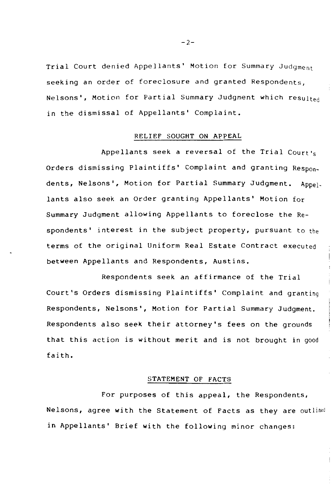Trial Court denied Appellants' Motion for Summary Judgment seeking an order of foreclosure and granted Respondents, Nelsons', Motion for Partial Summary Judgment which resulted in the dismissal of Appellants' Complaint.

#### RELIEF SOUGHT ON APPEAL

Appellants seek a reversal of the Trial Court's Orders dismissing Plaintiffs' Complaint and granting Respondents, Nelsons', Motion for Partial Summary Judgment. Appellants also seek an Order granting Appellants' Motion for Summary Judgment allowing Appellants to foreclose the Respondents' interest in the subject property, pursuant to the terms of the original Uniform Real Estate Contract executed between Appellants and Respondents, Austins.

Respondents seek an affirmance of the Trial Court's Orders dismissing Plaintiffs' Complaint and granting Respondents, Nelsons', Motion for Partial Summary Judgment. Respondents also seek their attorney's fees on the grounds that this action is without merit and is not brought in good faith.

#### STATEMENT OF FACTS

For purposes of this appeal, the Respondents, Nelsons, agree with the Statement of Facts as they are outlined in Appellants' Brief with the following minor changes:

 $-2-$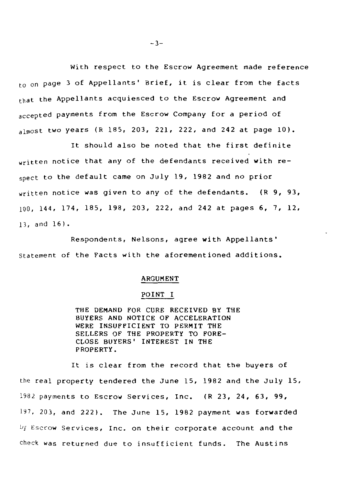With respect to the Escrow Agreement made reference to on page 3 of Appellants' Brief, it is clear from the facts that the Appellants acquiesced to the Escrow Agreement and accepted payments from the Escrow Company for a period of almost two years  $(R_185, 203, 221, 222,$  and 242 at page  $10$ ).

It should also be noted that the first definite written notice that any of the defendants received with respect to the default came on July 19, 1982 and no prior written notice was given to any of the defendants. (R 9, 93, 100, 144, 174, 185, 198, 203, 222, and 242 at pages 6, 7, 12, 13, and 16).

Respondents, Nelsons, agree with Appellants' Statement of the Facts with the aforementioned additions.

## ARGUMENT

#### POINT I

THE DEMAND FOR CURE RECEIVED BY THE BUYERS AND NOTICE OF ACCELERATION WERE INSUFFICIENT TO PERMIT THE SELLERS OF THE PROPERTY TO FORE-CLOSE BUYERS' INTEREST IN THE PROPERTY.

It is clear from the record that the buyers of the real property tendered the June 15, 1982 and the July 15, 1982 payments to Escrow Services, Inc. (R 23, 24, 63, 99, 197, 203, and 222). The June 15, 1982 payment was forwarded by Escrow Services, Inc. on their corporate account and the check was returned due to insufficient funds. The Austins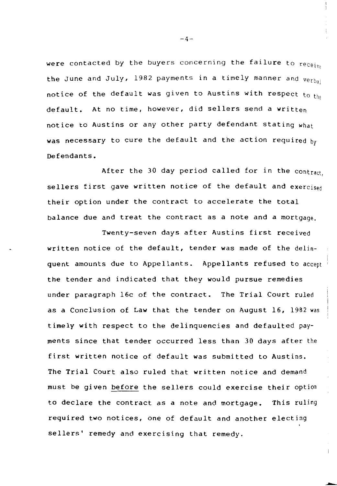were contacted by the buyers concerning the failure to  $receiv<sub>p</sub>$ the June and July, 1982 payments in a timely manner and  $verbal$ notice of the default was given to Austins with respect to the default. At no time, however, did sellers send a written notice to Austins or any other party defendant stating what was necessary to cure the default and the action required by Defendants.

After the 30 day period called for in the contract sellers first gave written notice of the default and exercised their option under the contract to accelerate the total balance due and treat the contract as a note and a mortgage,

Twenty-seven days after Austins first received written notice of the default, tender was made of the delinquent amounts due to Appellants. Appellants refused to accept the tender and indicated that they would pursue remedies under paragraph 16c of the contract. The Trial Court ruled as a Conclusion of Law that the tender on August 16, 1982 was timely with respect to the delinquencies and defaulted payments since that tender occurred less than 30 days after the first written notice of default was submitted to Austins. The Trial Court also ruled that written notice and demand must be given before the sellers could exercise their option to declare the contract as a note and mortgage. This ruling required two notices, one of default and another electing sellers' remedy and exercising that remedy.

 $-4-$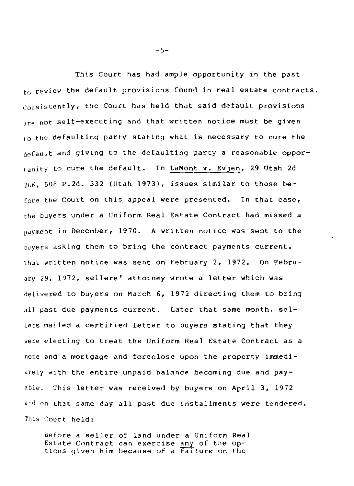This Court has had ample opportunity in the past to review the default provisions found in real estate contracts. consistently, the Court has held that said default provisions are not self-executing and that written notice must be given to the defaulting party stating what is necessary to cure the default and giving to the defaulting party a reasonable opportunity to cure the default. In LaMont v. Evjen, 29 Utah 2d 266, 508 P.2d. 532 (Utah 1973), issues similar to those before the Court on this appeal were presented. In that case, the buyers under a Uniform Real Estate Contract had missed a payment in December, 1970. A written notice was sent to the buyers asking them to bring the contract payments current. That written notice was sent on February 2, 1972. On Febru*ary* 29, 1972, sellers' attorney wrote a letter which was delivered to buyers on March 6, 1972 directing them to bring all past due payments current. Later that same month, sellers mailed a certified letter to buyers stating that they were electing to treat the Uniform Real Estate Contract as a note and a mortgage and foreclose upon the property immediately with the entire unpaid balance becoming due and payable. This letter was received by buyers on April 3, 1972 and on that same day all past due installments were tendered. This Court held:

Before a seller of land under a Uniform Real Estate Contract can exercise any of the options given him because of a  $f$ ailure on the

 $-5-$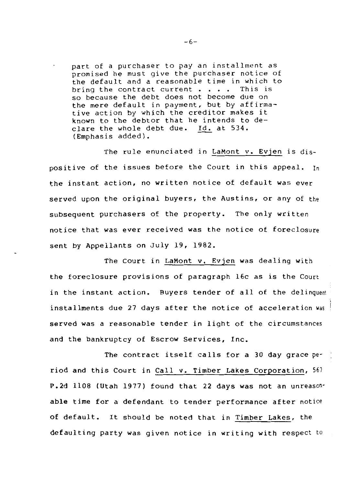part of a purchaser to pay an installment as promised he must give the purchaser notice of the default and a reasonable time in which to<br>bring the contract current . . . . This is bring the contract current  $\cdots$ so because the debt does not become due on the mere default in payment, but by affirmative action by which the creditor makes it known to the debtor that he intends to declare the whole debt due. Id. at 534. (Emphasis added).

The rule enunciated in LaMont v. Evjen is dispositive of the issues before the Court in this appeal. In the instant action, no written notice of default was ever served upon the original buyers, the Austins, or any of the subsequent purchasers of the property. The only written notice that was ever received was the notice of foreclosure sent by Appellants on July 19, 1982.

The Court in LaMont v. Evjen was dealing with the foreclosure provisions of paragraph 16c as is the Court in the instant action. Buyers tender of all of the delinquent installments due 27 days after the notice of acceleration was served was a reasonable tender in light of the circumstances and the bankruptcy of Escrow Services, Inc.

The contract itself calls for a 30 day grace period and this Court in Call v. Timber Lakes Corporation, <sup>567</sup> P.2d 1108 (Utah 1977) found that 22 days was not an unreasonable time for a defendant to tender performance after notice of default. It should be noted that in Timber Lakes, the defaulting party was given notice in writing with respect to

 $-6-$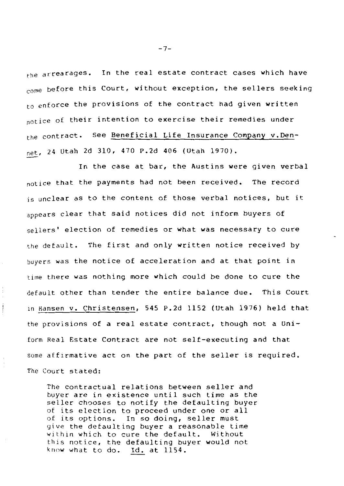the arrearages. In the real estate contract cases which have come before this Court, without exception, the sellers seeking to enforce the provisions of the contract had given written notice of their intention to exercise their remedies under the contract. See Beneficial Life Insurance Company v.Den-*Mt,* 24 Utah 2d 310, 470 P.2d 406 (Utah 1970).

In the case at bar, the Austins were given verbal notice that the payments had not been received. The record is unclear as to the content of those verbal notices, but it appears clear that said notices did not inform buyers of sellers' election of remedies or what was necessary to cure the default. The first and only written notice received by buyers was the notice of acceleration and at that point in time there was nothing more which could be done to cure the default other than tender the entire balance due. This Court in Hansen v. Christensen, 545 P.2d 1152 (Utah 1976) held that the provisions of a real estate contract, though not a Uniform Real Estate Contract are not self-executing and that some affirmative act on the part of the seller is required. The Court stated:

The contractual relations between seller and buyer are in existence until such time as the seller chooses to notify the defaulting buyer of its election to proceed under one or all of its options. In so doing, seller must yive the defaulting buyer a reasonable time within which to cure the default. Without this notice, the defaulting buyer would not know what to do. Id. at 1154.

 $-7-$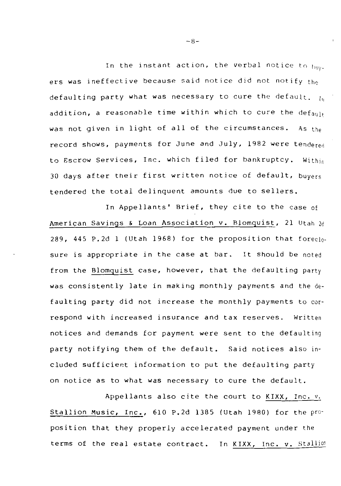In the instant action, the verbal notice to  $_{\text{blue}}$ . ers was ineffective because said notice did not notify the defaulting party what was necessary to cure the default.  $I_0$ addition, a reasonable time within which to cure the  $def_{a(1)}$ was not given in light of all of the circumstances. As the record shows, payments for June and July, 1982 were tendered to Escrow Services, Inc. which filed for bankruptcy. Within 30 days after their first written notice of default, buyers tendered the total delinquent amounts due to sellers.

In Appellants' Brief, they cite to the case of American Savings & Loan Association v. Blomquist, 21 Utah 2d 289, 445 P.2d 1 (Utah 1968) for the proposition that foreclosure is appropriate in the case at bar. It should be noted from the Blomquist case, however, that the defaulting party was consistently late in making monthly payments and the defaulting party did not increase the monthly payments to correspond with increased insurance and tax reserves. Written notices and demands for payment were sent to the defaulting party notifying them of the default. Said notices also included sufficient information to put the defaulting party on notice as to what was necessary to cure the default.

Appellants also cite the court to KIXX, Inc. v. Stallion Music, Inc., 610 P.2d 1385 (Utah 1980) for the proposition that they properly accelerated payment under the terms of the real estate contract. In KIXX, Inc. v. Stallion

 $-8-$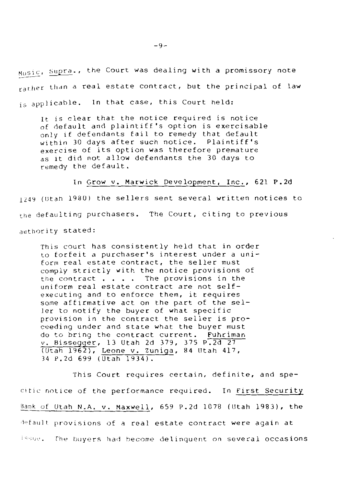Music, Supra., the Court was dealing with a promissory note rarher than a real estate contract, but the principal of law is applicable. In that case, this Court held:

It is clear that the notice required is notice of default and plaintiff's option is exercisable only if defendants fail to remedy that default within 30 days after such notice. Plaintiff's exercise of its option was therefore premature as it did not allow defendants the 30 days to remedy the default.

In Grow v. Marwick Development, Inc., 621 P.2d 1249 (Utah 1980) the sellers sent several written notices to the defaulting purchasers. The Court, citing to previous authority stated:

This court has consistently held that in *order*  to forfeit a purchaser's interest under a uniform real estate contract, the seller must comply strictly with the notice provisions of the contract  $\cdots$   $\cdots$  The provisions in the uniform real estate contract *are* not selfexecuting and to enforce them, it requires some affirmative act on the part of the seller to notify the buyer of what specific provision in the contract the seller is proceeding under and state what the buyer must do to bring the contract current. Fuhriman *v.* Bissegger, 13 Utah 2d 379, 375 P.2d 27 (Utah 1962), Leone v. Zuniga, 84 lltah 417, 34 P.2d 699 (Utah 1934).

This Court requires certain, definite, and specitic notice of the performance required. In First Security Bank of Utah N.A. v. Maxwell, 659 P.2d 1078 (Utah 1983), the default provisions of a real estate contract were again at Issue. The buyers had become delinquent on several occasions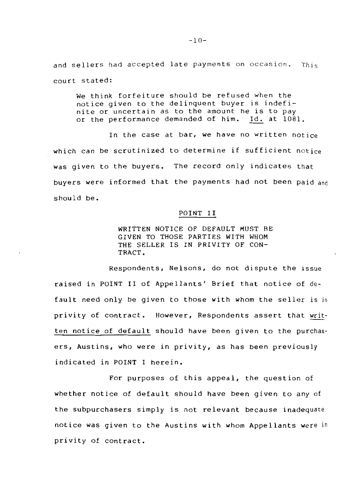and sellers had accepted late payments on occasion. This court stated:

we think forfeiture should be refused when the notice given to the delinquent buyer is indefinite or uncertain as to the amount he is to pay or the performance demanded of him. Id. at 1081.

In the case at bar, we have no written notice which can be scrutinized to determine if sufficient notice was given to the buyers. The record only indicates that buyers were informed that the payments had not been paid and should be.

## POINT II

WRITTEN NOTICE OF DEFAULT MUST BE GIVEN TO THOSE PARTIES WITH WHOM THE SELLER IS IN PRIVITY OF CON-TRACT.

Respondents, Nelsons, do not dispute the issue raised in POINT II of Appellants' Brief that notice of default need only be given to those with whom the seller is in privity of contract. However, Respondents assert that written notice of default should have been given to the purchasers, Austins, who were in privity, as has been previously indicated in POINT I herein.

For purposes of this appeal, the question of whether notice of default should have been given to any of the subpurchasers simply is not relevant because inadequate notice was given to the Austins with whom Appellants were in privity of contract.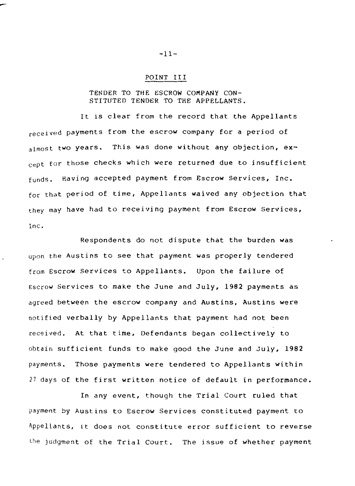## POINT III

## TENDER TO THE ESCROW COMPANY CON-STITUTED TENDER TO THE APPELLANTS.

It is clear from the record that the Appellants received payments from the escrow company for a period of almost two years. This was done without any objection, except for those checks which were returned due to insufficient funds. Having accepted payment from Escrow Services, Inc. for that period of time, Appellants waived any objection that they may have had to receiving payment from Escrow Services, Inc.

Respondents do not dispute that the burden was upon the Austins to see that payment was properly tendered from Escrow Services to Appellants. Upon the failure of Escrow Services to make the June and July, 1982 payments as agreed between the escrow company and Austins, Austins were notified verbally by Appellants that payment had not been received. At that time, Defendants began collectively to obtain sufficient funds to make good the June and July, 1982 payments. Those payments were tendered to Appellants within 27 days of the first written notice of default in performance.

In any event, though the Trial Court ruled that payment by Austins to Escrow Services constituted payment to Appellants, it does not constitute error sufficient to reverse the judgment of the Trial Court. The issue of whether payment

-11-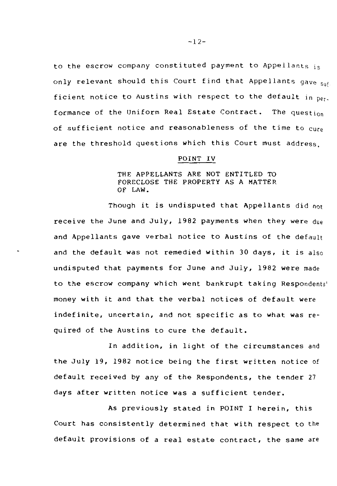to the escrow company constituted payment to Appellants is only relevant should this Court find that Appellants gave sufficient notice to Austins with respect to the default in  $per$ formance of the Uniform Real Estate Contract. The question of sufficient notice and reasonableness of the time to cure are the threshold questions which this Court must address.

#### POINT IV

## THE APPELLANTS ARE NOT ENTITLED TO FORECLOSE THE PROPERTY AS A MATTER OF LAW.

Though it is undisputed that Appellants did not receive the June and July, 1982 payments when they were due and Appellants gave verbal notice to Austins of the default and the default was not remedied within 30 days, it is also undisputed that payments for June and July, 1982 were made to the escrow company which went bankrupt taking Respondents' money with it and that the verbal notices of default were indefinite, uncertain, and not specific as to what was required of the Austins to cure the default.

In addition, in light of the circumstances and the July 19, 1982 notice being the first written notice of default received by any of the Respondents, the tender 27 days after written notice was a sufficient tender.

As previously stated in POINT I herein, this Court has consistently determined that with respect to the default provisions of a real estate contract, the same are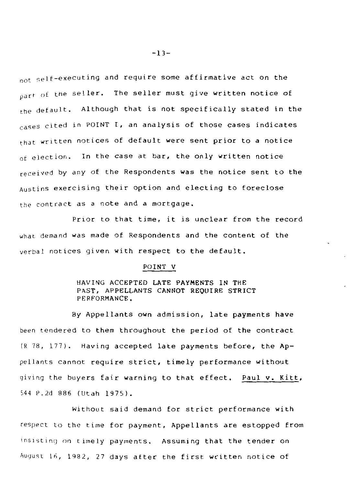not self-executing and require some affirmative act on the part of the seller. The seller must give written notice of the default. Although that is not specifically stated in the cases cited in POINT I, an analysis of those cases indicates that written notices of default were sent prior to a notice of election. In the case at bar, the only written notice received by any of the Respondents was the notice sent to the Austins exercising their option and electing to foreclose the contract as a note and a mortgage.

Prior to that time, it is unclear from the record what demand was made of Respondents and the content of the verbal notices given with respect to the default.

#### POINT V

#### HAVING ACCEPTED LATE PAYMENTS IN THE PAST, APPELLANTS CANNOT REQUIRE STRICT PERFORMANCE.

By Appellants own admission, late payments have been tendered to them throughout the period of the contract  $(R<sub>78</sub>, 177)$ . Having accepted late payments before, the Appellants cannot require strict, timely performance without giving the buyers fair warning to that effect. Paul v. Kitt, 544 P.2d 886 {Utah 1975).

Without said demand for strict performance with respect to the time for payment, Appellants are estopped from insisting on timely payments. Assuming that the tender on August 16, 1982, 27 days after the first written notice of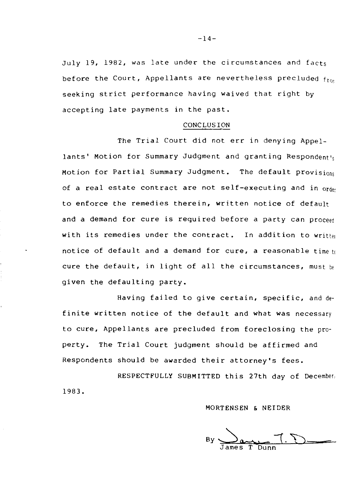July 19, 1982, was late under the circumstances and facts before the Court, Appellants are nevertheless precluded  $f_{\text{free}}$ seeking strict performance having waived that right by accepting late payments in the past.

#### **CONCLUSION**

The Trial Court did not err in denying Appellants' Motion for Summary Judgment and granting Respondent's Motion for Partial Summary Judgment. The default provisions of a real estate contract are not self-executing and in order to enforce the remedies therein, written notice of default and a demand for cure is required before a party can proceed with its remedies under the contract. In addition to written notice of default and a demand for cure, a reasonable time  $t_0$ cure the default, in light of all the circumstances, must be given the defaulting party.

Having failed to give certain, specific, and definite written notice of the default and what was necessary to cure, Appellants are precluded from foreclosing the property. The Trial Court judgment should be affirmed and Respondents should be awarded their attorney's fees.

RESPECTFULLY SUBMITTED this 27th day of December, 1983.

#### MORTENSEN & NEIDER

 $\n By \n  $\frac{1}{\text{Image Type}} \rightarrow \frac{1}{\text{Dump}}$$ James T Dunn

 $-14-$